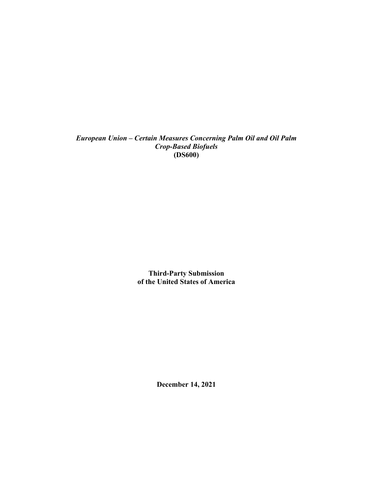*European Union – Certain Measures Concerning Palm Oil and Oil Palm Crop-Based Biofuels*  **(DS600)** 

> **Third-Party Submission of the United States of America**

> > **December 14, 2021**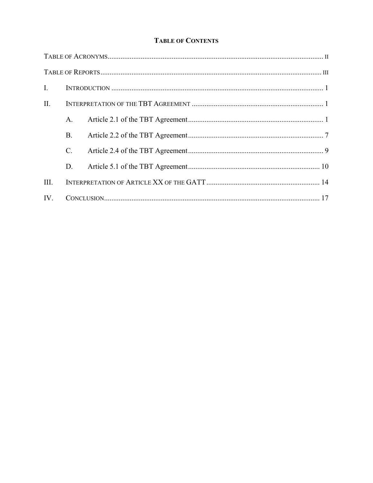## **TABLE OF CONTENTS**

| $\mathbf{I}$ . |    |  |  |  |
|----------------|----|--|--|--|
| $\Pi$ .        |    |  |  |  |
|                | A. |  |  |  |
|                | B. |  |  |  |
|                | C. |  |  |  |
|                | D. |  |  |  |
| III.           |    |  |  |  |
| IV.            |    |  |  |  |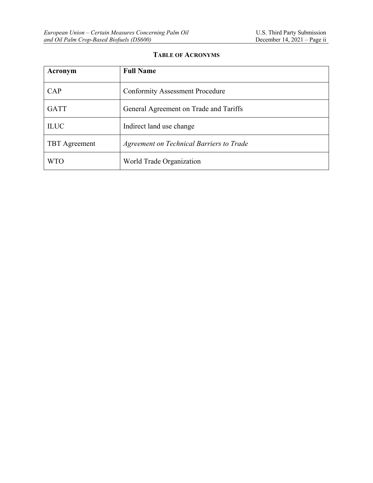# **TABLE OF ACRONYMS**

| Acronym              | <b>Full Name</b>                         |
|----------------------|------------------------------------------|
| CAP                  | <b>Conformity Assessment Procedure</b>   |
| <b>GATT</b>          | General Agreement on Trade and Tariffs   |
| <b>ILUC</b>          | Indirect land use change                 |
| <b>TBT</b> Agreement | Agreement on Technical Barriers to Trade |
| <b>WTO</b>           | World Trade Organization                 |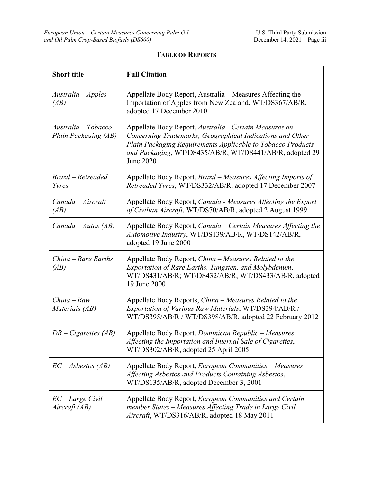| <b>Short title</b>                          | <b>Full Citation</b>                                                                                                                                                                                                                                       |
|---------------------------------------------|------------------------------------------------------------------------------------------------------------------------------------------------------------------------------------------------------------------------------------------------------------|
| Australia – Apples<br>(AB)                  | Appellate Body Report, Australia – Measures Affecting the<br>Importation of Apples from New Zealand, WT/DS367/AB/R,<br>adopted 17 December 2010                                                                                                            |
| Australia - Tobacco<br>Plain Packaging (AB) | Appellate Body Report, Australia - Certain Measures on<br>Concerning Trademarks, Geographical Indications and Other<br>Plain Packaging Requirements Applicable to Tobacco Products<br>and Packaging, WT/DS435/AB/R, WT/DS441/AB/R, adopted 29<br>June 2020 |
| Brazil – Retreaded<br><i>Tyres</i>          | Appellate Body Report, <i>Brazil – Measures Affecting Imports of</i><br>Retreaded Tyres, WT/DS332/AB/R, adopted 17 December 2007                                                                                                                           |
| $Canada - Aircraft$<br>(AB)                 | Appellate Body Report, Canada - Measures Affecting the Export<br>of Civilian Aircraft, WT/DS70/AB/R, adopted 2 August 1999                                                                                                                                 |
| $Canada - Autos (AB)$                       | Appellate Body Report, Canada – Certain Measures Affecting the<br>Automotive Industry, WT/DS139/AB/R, WT/DS142/AB/R,<br>adopted 19 June 2000                                                                                                               |
| $China - Rare$ Earths<br>(AB)               | Appellate Body Report, China – Measures Related to the<br>Exportation of Rare Earths, Tungsten, and Molybdenum,<br>WT/DS431/AB/R; WT/DS432/AB/R; WT/DS433/AB/R, adopted<br>19 June 2000                                                                    |
| $China - Raw$<br>Materials (AB)             | Appellate Body Reports, China - Measures Related to the<br>Exportation of Various Raw Materials, WT/DS394/AB/R /<br>WT/DS395/AB/R / WT/DS398/AB/R, adopted 22 February 2012                                                                                |
| $DR-Cigareites (AB)$                        | Appellate Body Report, Dominican Republic - Measures<br>Affecting the Importation and Internal Sale of Cigarettes,<br>WT/DS302/AB/R, adopted 25 April 2005                                                                                                 |
| $EC-Asbestos (AB)$                          | Appellate Body Report, European Communities - Measures<br>Affecting Asbestos and Products Containing Asbestos,<br>WT/DS135/AB/R, adopted December 3, 2001                                                                                                  |
| $EC - Large Civil$<br>Aircraft (AB)         | Appellate Body Report, European Communities and Certain<br>member States - Measures Affecting Trade in Large Civil<br>Aircraft, WT/DS316/AB/R, adopted 18 May 2011                                                                                         |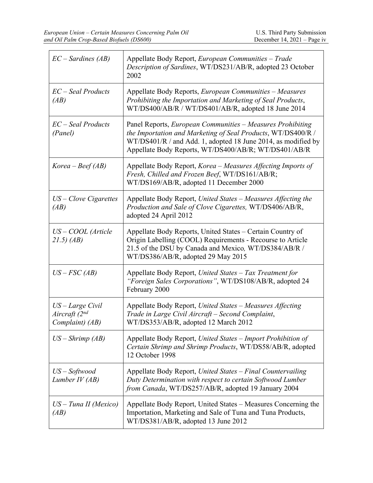| $EC-Sardines (AB)$                                               | Appellate Body Report, European Communities - Trade<br>Description of Sardines, WT/DS231/AB/R, adopted 23 October<br>2002                                                                                                                           |
|------------------------------------------------------------------|-----------------------------------------------------------------------------------------------------------------------------------------------------------------------------------------------------------------------------------------------------|
| EC – Seal Products<br>(AB)                                       | Appellate Body Reports, European Communities - Measures<br>Prohibiting the Importation and Marketing of Seal Products,<br>WT/DS400/AB/R / WT/DS401/AB/R, adopted 18 June 2014                                                                       |
| EC – Seal Products<br>(Panel)                                    | Panel Reports, European Communities - Measures Prohibiting<br>the Importation and Marketing of Seal Products, WT/DS400/R /<br>WT/DS401/R / and Add. 1, adopted 18 June 2014, as modified by<br>Appellate Body Reports, WT/DS400/AB/R; WT/DS401/AB/R |
| $Korea - Beef(AB)$                                               | Appellate Body Report, Korea - Measures Affecting Imports of<br>Fresh, Chilled and Frozen Beef, WT/DS161/AB/R;<br>WT/DS169/AB/R, adopted 11 December 2000                                                                                           |
| $US - Clove Cigarettes$<br>(AB)                                  | Appellate Body Report, United States - Measures Affecting the<br>Production and Sale of Clove Cigarettes, WT/DS406/AB/R,<br>adopted 24 April 2012                                                                                                   |
| US – COOL (Article<br>21.5) (AB)                                 | Appellate Body Reports, United States - Certain Country of<br>Origin Labelling (COOL) Requirements - Recourse to Article<br>21.5 of the DSU by Canada and Mexico, WT/DS384/AB/R /<br>WT/DS386/AB/R, adopted 29 May 2015                             |
| $US-FSC(AB)$                                                     | Appellate Body Report, United States - Tax Treatment for<br>"Foreign Sales Corporations", WT/DS108/AB/R, adopted 24<br>February 2000                                                                                                                |
| US – Large Civil<br>Aircraft (2 <sup>nd</sup><br>Complaint) (AB) | Appellate Body Report, United States - Measures Affecting<br>Trade in Large Civil Aircraft - Second Complaint,<br>WT/DS353/AB/R, adopted 12 March 2012                                                                                              |
| $US - Shrimp(AB)$                                                | Appellate Body Report, United States – Import Prohibition of<br>Certain Shrimp and Shrimp Products, WT/DS58/AB/R, adopted<br>12 October 1998                                                                                                        |
| $US - Softwood$<br>Lumber IV (AB)                                | Appellate Body Report, United States - Final Countervailing<br>Duty Determination with respect to certain Softwood Lumber<br>from Canada, WT/DS257/AB/R, adopted 19 January 2004                                                                    |
| $US$ – Tuna II (Mexico)<br>(AB)                                  | Appellate Body Report, United States - Measures Concerning the<br>Importation, Marketing and Sale of Tuna and Tuna Products,<br>WT/DS381/AB/R, adopted 13 June 2012                                                                                 |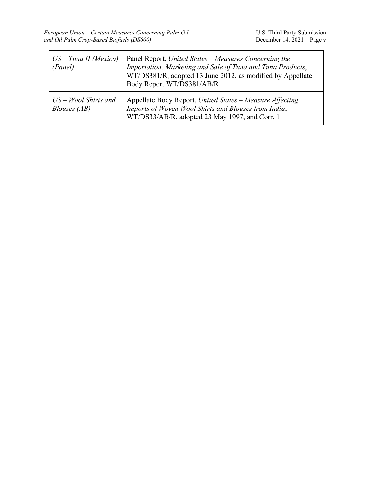| $US$ – Tuna II (Mexico)<br>(Panel)     | Panel Report, United States – Measures Concerning the<br>Importation, Marketing and Sale of Tuna and Tuna Products,<br>WT/DS381/R, adopted 13 June 2012, as modified by Appellate<br>Body Report WT/DS381/AB/R |
|----------------------------------------|----------------------------------------------------------------------------------------------------------------------------------------------------------------------------------------------------------------|
| $US - Wood$ Shirts and<br>Blouses (AB) | Appellate Body Report, United States – Measure Affecting<br>Imports of Woven Wool Shirts and Blouses from India,<br>WT/DS33/AB/R, adopted 23 May 1997, and Corr. 1                                             |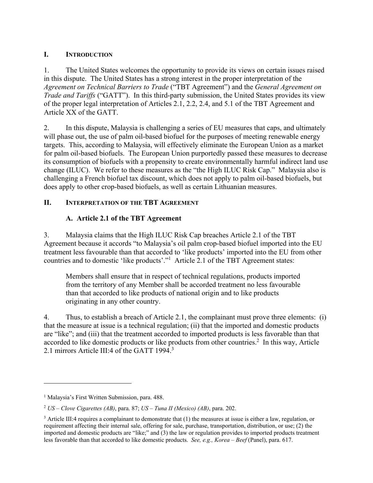## **I. INTRODUCTION**

1. The United States welcomes the opportunity to provide its views on certain issues raised in this dispute. The United States has a strong interest in the proper interpretation of the *Agreement on Technical Barriers to Trade* ("TBT Agreement") and the *General Agreement on Trade and Tariffs* ("GATT"). In this third-party submission, the United States provides its view of the proper legal interpretation of Articles 2.1, 2.2, 2.4, and 5.1 of the TBT Agreement and Article XX of the GATT.

2. In this dispute, Malaysia is challenging a series of EU measures that caps, and ultimately will phase out, the use of palm oil-based biofuel for the purposes of meeting renewable energy targets. This, according to Malaysia, will effectively eliminate the European Union as a market for palm oil-based biofuels. The European Union purportedly passed these measures to decrease its consumption of biofuels with a propensity to create environmentally harmful indirect land use change (ILUC). We refer to these measures as the "the High ILUC Risk Cap." Malaysia also is challenging a French biofuel tax discount, which does not apply to palm oil-based biofuels, but does apply to other crop-based biofuels, as well as certain Lithuanian measures.

## **II. INTERPRETATION OF THE TBT AGREEMENT**

## **A. Article 2.1 of the TBT Agreement**

3. Malaysia claims that the High ILUC Risk Cap breaches Article 2.1 of the TBT Agreement because it accords "to Malaysia's oil palm crop-based biofuel imported into the EU treatment less favourable than that accorded to 'like products' imported into the EU from other countries and to domestic 'like products'."<sup>1</sup> Article 2.1 of the TBT Agreement states:

Members shall ensure that in respect of technical regulations, products imported from the territory of any Member shall be accorded treatment no less favourable than that accorded to like products of national origin and to like products originating in any other country.

4. Thus, to establish a breach of Article 2.1, the complainant must prove three elements: (i) that the measure at issue is a technical regulation; (ii) that the imported and domestic products are "like"; and (iii) that the treatment accorded to imported products is less favorable than that accorded to like domestic products or like products from other countries.<sup>2</sup> In this way, Article 2.1 mirrors Article III:4 of the GATT 1994.<sup>3</sup>

<sup>&</sup>lt;sup>1</sup> Malaysia's First Written Submission, para. 488.

<sup>2</sup> *US – Clove Cigarettes (AB)*, para. 87; *US – Tuna II (Mexico) (AB)*, para. 202.

 $3$  Article III:4 requires a complainant to demonstrate that (1) the measures at issue is either a law, regulation, or requirement affecting their internal sale, offering for sale, purchase, transportation, distribution, or use; (2) the imported and domestic products are "like;" and (3) the law or regulation provides to imported products treatment less favorable than that accorded to like domestic products. *See, e.g., Korea – Beef* (Panel), para. 617.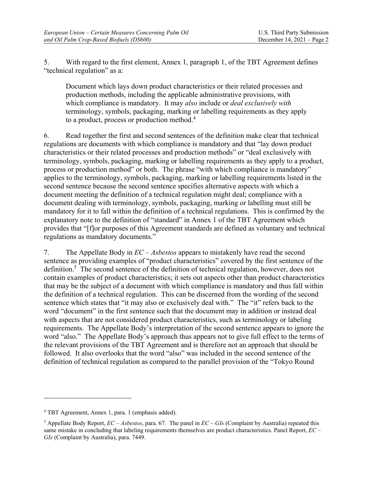5. With regard to the first element, Annex 1, paragraph 1, of the TBT Agreement defines "technical regulation" as a:

Document which lays down product characteristics or their related processes and production methods, including the applicable administrative provisions, with which compliance is mandatory. It may *also* include or *deal exclusively with*  terminology, symbols, packaging, marking or labelling requirements as they apply to a product, process or production method.<sup>4</sup>

6. Read together the first and second sentences of the definition make clear that technical regulations are documents with which compliance is mandatory and that "lay down product characteristics or their related processes and production methods" or "deal exclusively with terminology, symbols, packaging, marking or labelling requirements as they apply to a product, process or production method" or both. The phrase "with which compliance is mandatory" applies to the terminology, symbols, packaging, marking or labelling requirements listed in the second sentence because the second sentence specifies alternative aspects with which a document meeting the definition of a technical regulation might deal; compliance with a document dealing with terminology, symbols, packaging, marking or labelling must still be mandatory for it to fall within the definition of a technical regulations. This is confirmed by the explanatory note to the definition of "standard" in Annex 1 of the TBT Agreement which provides that "[f]or purposes of this Agreement standards are defined as voluntary and technical regulations as mandatory documents."

7. The Appellate Body in *EC – Asbestos* appears to mistakenly have read the second sentence as providing examples of "product characteristics" covered by the first sentence of the definition.<sup>5</sup> The second sentence of the definition of technical regulation, however, does not contain examples of product characteristics; it sets out aspects other than product characteristics that may be the subject of a document with which compliance is mandatory and thus fall within the definition of a technical regulation. This can be discerned from the wording of the second sentence which states that "it may also or exclusively deal with." The "it" refers back to the word "document" in the first sentence such that the document may in addition or instead deal with aspects that are not considered product characteristics, such as terminology or labeling requirements. The Appellate Body's interpretation of the second sentence appears to ignore the word "also." The Appellate Body's approach thus appears not to give full effect to the terms of the relevant provisions of the TBT Agreement and is therefore not an approach that should be followed. It also overlooks that the word "also" was included in the second sentence of the definition of technical regulation as compared to the parallel provision of the "Tokyo Round

<sup>4</sup> TBT Agreement, Annex 1, para. 1 (emphasis added).

<sup>5</sup> Appellate Body Report, *EC – Asbestos*, para. 67. The panel in *EC – GIs* (Complaint by Australia) repeated this same mistake in concluding that labeling requirements themselves are product characteristics. Panel Report, *EC – GIs* (Complaint by Australia), para. 7449.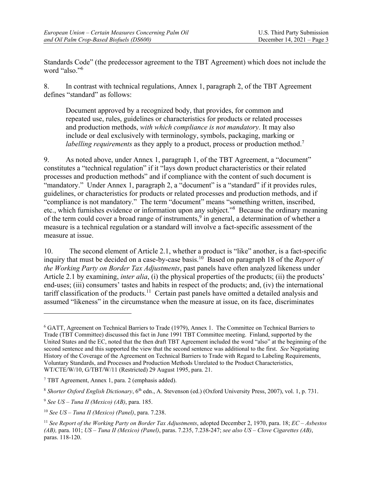Standards Code" (the predecessor agreement to the TBT Agreement) which does not include the word "also."6

8. In contrast with technical regulations, Annex 1, paragraph 2, of the TBT Agreement defines "standard" as follows:

Document approved by a recognized body, that provides, for common and repeated use, rules, guidelines or characteristics for products or related processes and production methods, *with which compliance is not mandatory*. It may also include or deal exclusively with terminology, symbols, packaging, marking or *labelling requirements* as they apply to a product, process or production method.<sup>7</sup>

9. As noted above, under Annex 1, paragraph 1, of the TBT Agreement, a "document" constitutes a "technical regulation" if it "lays down product characteristics or their related processes and production methods" and if compliance with the content of such document is "mandatory." Under Annex 1, paragraph 2, a "document" is a "standard" if it provides rules, guidelines, or characteristics for products or related processes and production methods, and if "compliance is not mandatory." The term "document" means "something written, inscribed, etc., which furnishes evidence or information upon any subject."<sup>8</sup> Because the ordinary meaning of the term could cover a broad range of instruments,  $9$  in general, a determination of whether a measure is a technical regulation or a standard will involve a fact-specific assessment of the measure at issue.

10. The second element of Article 2.1, whether a product is "like" another, is a fact-specific inquiry that must be decided on a case-by-case basis.<sup>10</sup> Based on paragraph 18 of the *Report of the Working Party on Border Tax Adjustments*, past panels have often analyzed likeness under Article 2.1 by examining, *inter alia*, (i) the physical properties of the products; (ii) the products' end-uses; (iii) consumers' tastes and habits in respect of the products; and, (iv) the international tariff classification of the products.11 Certain past panels have omitted a detailed analysis and assumed "likeness" in the circumstance when the measure at issue, on its face, discriminates

1

<sup>&</sup>lt;sup>6</sup> GATT, Agreement on Technical Barriers to Trade (1979), Annex 1. The Committee on Technical Barriers to Trade (TBT Committee) discussed this fact in June 1991 TBT Committee meeting. Finland, supported by the United States and the EC, noted that the then draft TBT Agreement included the word "also" at the beginning of the second sentence and this supported the view that the second sentence was additional to the first. *See* Negotiating History of the Coverage of the Agreement on Technical Barriers to Trade with Regard to Labeling Requirements, Voluntary Standards, and Processes and Production Methods Unrelated to the Product Characteristics, WT/CTE/W/10, G/TBT/W/11 (Restricted) 29 August 1995, para. 21.

<sup>&</sup>lt;sup>7</sup> TBT Agreement, Annex 1, para. 2 (emphasis added).

<sup>&</sup>lt;sup>8</sup> Shorter Oxford English Dictionary, 6<sup>th</sup> edn., A. Stevenson (ed.) (Oxford University Press, 2007), vol. 1, p. 731.

<sup>9</sup> *See US – Tuna II (Mexico) (AB)*, para. 185.

<sup>10</sup> *See US – Tuna II (Mexico) (Panel)*, para. 7.238.

<sup>11</sup> *See Report of the Working Party on Border Tax Adjustments*, adopted December 2, 1970, para. 18; *EC – Asbestos (AB),* para. 101; *US – Tuna II (Mexico) (Panel)*, paras. 7.235, 7.238-247; *see also US – Clove Cigarettes (AB)*, paras. 118-120.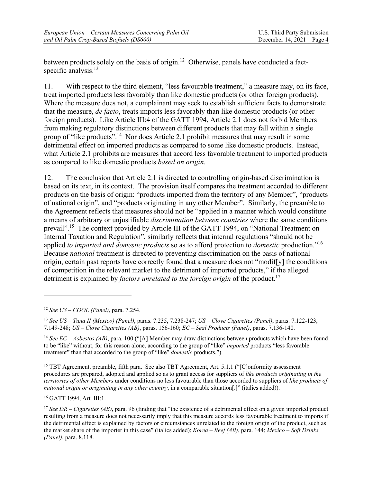between products solely on the basis of origin.<sup>12</sup> Otherwise, panels have conducted a factspecific analysis.<sup>13</sup>

11. With respect to the third element, "less favourable treatment," a measure may, on its face, treat imported products less favorably than like domestic products (or other foreign products). Where the measure does not, a complainant may seek to establish sufficient facts to demonstrate that the measure, *de facto*, treats imports less favorably than like domestic products (or other foreign products). Like Article III:4 of the GATT 1994, Article 2.1 does not forbid Members from making regulatory distinctions between different products that may fall within a single group of "like products".14 Nor does Article 2.1 prohibit measures that may result in some detrimental effect on imported products as compared to some like domestic products. Instead, what Article 2.1 prohibits are measures that accord less favorable treatment to imported products as compared to like domestic products *based on origin*.

12. The conclusion that Article 2.1 is directed to controlling origin-based discrimination is based on its text, in its context. The provision itself compares the treatment accorded to different products on the basis of origin: "products imported from the territory of any Member", "products of national origin", and "products originating in any other Member". Similarly, the preamble to the Agreement reflects that measures should not be "applied in a manner which would constitute a means of arbitrary or unjustifiable *discrimination between countries* where the same conditions prevail".15 The context provided by Article III of the GATT 1994, on "National Treatment on Internal Taxation and Regulation", similarly reflects that internal regulations "should not be applied *to imported and domestic products* so as to afford protection to *domestic* production."16 Because *national* treatment is directed to preventing discrimination on the basis of national origin, certain past reports have correctly found that a measure does not "modif[y] the conditions of competition in the relevant market to the detriment of imported products," if the alleged detriment is explained by *factors unrelated to the foreign origin* of the product.<sup>17</sup>

<u>.</u>

<sup>15</sup> TBT Agreement, preamble, fifth para. See also TBT Agreement, Art. 5.1.1 ("[C]onformity assessment procedures are prepared, adopted and applied so as to grant access for suppliers of *like products originating in the territories of other Members* under conditions no less favourable than those accorded to suppliers of *like products of national origin or originating in any other country*, in a comparable situation[.]" (italics added)).

16 GATT 1994, Art. III:1.

<sup>12</sup> *See US – COOL (Panel)*, para. 7.254.

<sup>13</sup> *See US – Tuna II (Mexico) (Panel)*, paras. 7.235, 7.238-247; *US – Clove Cigarettes (Panel)*, paras. 7.122-123, 7.149-248; *US – Clove Cigarettes (AB)*, paras. 156-160; *EC – Seal Products (Panel)*, paras. 7.136-140.

<sup>14</sup> *See EC – Asbestos (AB)*, para. 100 ("[A] Member may draw distinctions between products which have been found to be "like" without, for this reason alone, according to the group of "like" *imported* products "less favorable treatment" than that accorded to the group of "like" *domestic* products.").

<sup>17</sup> *See DR – Cigarettes (AB)*, para. 96 (finding that "the existence of a detrimental effect on a given imported product resulting from a measure does not necessarily imply that this measure accords less favourable treatment to imports if the detrimental effect is explained by factors or circumstances unrelated to the foreign origin of the product, such as the market share of the importer in this case" (italics added); *Korea – Beef (AB)*, para. 144; *Mexico – Soft Drinks (Panel)*, para. 8.118.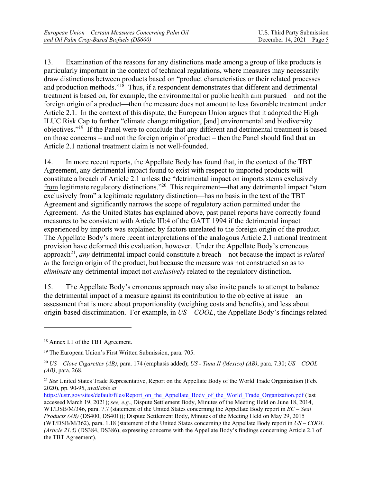13. Examination of the reasons for any distinctions made among a group of like products is particularly important in the context of technical regulations, where measures may necessarily draw distinctions between products based on "product characteristics or their related processes and production methods."<sup>18</sup> Thus, if a respondent demonstrates that different and detrimental treatment is based on, for example, the environmental or public health aim pursued—and not the foreign origin of a product—then the measure does not amount to less favorable treatment under Article 2.1. In the context of this dispute, the European Union argues that it adopted the High ILUC Risk Cap to further "climate change mitigation, [and] environmental and biodiversity objectives."19 If the Panel were to conclude that any different and detrimental treatment is based on those concerns – and not the foreign origin of product – then the Panel should find that an Article 2.1 national treatment claim is not well-founded.

14. In more recent reports, the Appellate Body has found that, in the context of the TBT Agreement, any detrimental impact found to exist with respect to imported products will constitute a breach of Article 2.1 unless the "detrimental impact on imports stems exclusively from legitimate regulatory distinctions."<sup>20</sup> This requirement—that any detrimental impact "stem exclusively from" a legitimate regulatory distinction—has no basis in the text of the TBT Agreement and significantly narrows the scope of regulatory action permitted under the Agreement. As the United States has explained above, past panel reports have correctly found measures to be consistent with Article III:4 of the GATT 1994 if the detrimental impact experienced by imports was explained by factors unrelated to the foreign origin of the product. The Appellate Body's more recent interpretations of the analogous Article 2.1 national treatment provision have deformed this evaluation, however. Under the Appellate Body's erroneous approach21, *any* detrimental impact could constitute a breach – not because the impact is *related to* the foreign origin of the product, but because the measure was not constructed so as to *eliminate* any detrimental impact not *exclusively* related to the regulatory distinction.

15. The Appellate Body's erroneous approach may also invite panels to attempt to balance the detrimental impact of a measure against its contribution to the objective at issue – an assessment that is more about proportionality (weighing costs and benefits), and less about origin-based discrimination. For example, in *US – COOL*, the Appellate Body's findings related

<u>.</u>

<sup>18</sup> Annex I.1 of the TBT Agreement.

<sup>&</sup>lt;sup>19</sup> The European Union's First Written Submission, para. 705.

<sup>20</sup> *US – Clove Cigarettes (AB)*, para. 174 (emphasis added); *US - Tuna II (Mexico) (AB)*, para. 7.30; *US – COOL (AB)*, para. 268.

<sup>21</sup> *See* United States Trade Representative, Report on the Appellate Body of the World Trade Organization (Feb. 2020), pp. 90-95, *available at*

https://ustr.gov/sites/default/files/Report\_on\_the\_Appellate\_Body\_of\_the\_World\_Trade\_Organization.pdf (last accessed March 19, 2021); *see, e.g.*, Dispute Settlement Body, Minutes of the Meeting Held on June 18, 2014, WT/DSB/M/346, para. 7.7 (statement of the United States concerning the Appellate Body report in *EC – Seal Products (AB)* (DS400, DS401)); Dispute Settlement Body, Minutes of the Meeting Held on May 29, 2015 (WT/DSB/M/362), para. 1.18 (statement of the United States concerning the Appellate Body report in *US – COOL (Article 21.5)* (DS384, DS386), expressing concerns with the Appellate Body's findings concerning Article 2.1 of the TBT Agreement).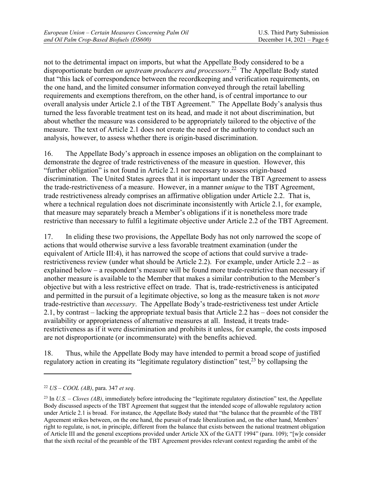not to the detrimental impact on imports, but what the Appellate Body considered to be a disproportionate burden *on upstream producers and processors*. 22 The Appellate Body stated that "this lack of correspondence between the recordkeeping and verification requirements, on the one hand, and the limited consumer information conveyed through the retail labelling requirements and exemptions therefrom, on the other hand, is of central importance to our overall analysis under Article 2.1 of the TBT Agreement." The Appellate Body's analysis thus turned the less favorable treatment test on its head, and made it not about discrimination, but about whether the measure was considered to be appropriately tailored to the objective of the measure. The text of Article 2.1 does not create the need or the authority to conduct such an analysis, however, to assess whether there is origin-based discrimination.

16. The Appellate Body's approach in essence imposes an obligation on the complainant to demonstrate the degree of trade restrictiveness of the measure in question. However, this "further obligation" is not found in Article 2.1 nor necessary to assess origin-based discrimination. The United States agrees that it is important under the TBT Agreement to assess the trade-restrictiveness of a measure. However, in a manner *unique* to the TBT Agreement, trade restrictiveness already comprises an affirmative obligation under Article 2.2. That is, where a technical regulation does not discriminate inconsistently with Article 2.1, for example, that measure may separately breach a Member's obligations if it is nonetheless more trade restrictive than necessary to fulfil a legitimate objective under Article 2.2 of the TBT Agreement.

17. In eliding these two provisions, the Appellate Body has not only narrowed the scope of actions that would otherwise survive a less favorable treatment examination (under the equivalent of Article III:4), it has narrowed the scope of actions that could survive a traderestrictiveness review (under what should be Article 2.2). For example, under Article 2.2 – as explained below – a respondent's measure will be found more trade-restrictive than necessary if another measure is available to the Member that makes a similar contribution to the Member's objective but with a less restrictive effect on trade. That is, trade-restrictiveness is anticipated and permitted in the pursuit of a legitimate objective, so long as the measure taken is not *more*  trade-restrictive than *necessary*. The Appellate Body's trade-restrictiveness test under Article 2.1, by contrast – lacking the appropriate textual basis that Article 2.2 has – does not consider the availability or appropriateness of alternative measures at all. Instead, it treats traderestrictiveness as if it were discrimination and prohibits it unless, for example, the costs imposed are not disproportionate (or incommensurate) with the benefits achieved.

18. Thus, while the Appellate Body may have intended to permit a broad scope of justified regulatory action in creating its "legitimate regulatory distinction" test,  $2<sup>3</sup>$  by collapsing the

<sup>22</sup> *US – COOL (AB)*, para. 347 *et seq*.

<sup>&</sup>lt;sup>23</sup> In *U.S. – Cloves (AB)*, immediately before introducing the "legitimate regulatory distinction" test, the Appellate Body discussed aspects of the TBT Agreement that suggest that the intended scope of allowable regulatory action under Article 2.1 is broad. For instance, the Appellate Body stated that "the balance that the preamble of the TBT Agreement strikes between, on the one hand, the pursuit of trade liberalization and, on the other hand, Members' right to regulate, is not, in principle, different from the balance that exists between the national treatment obligation of Article III and the general exceptions provided under Article XX of the GATT 1994" (para. 109); "[w]e consider that the sixth recital of the preamble of the TBT Agreement provides relevant context regarding the ambit of the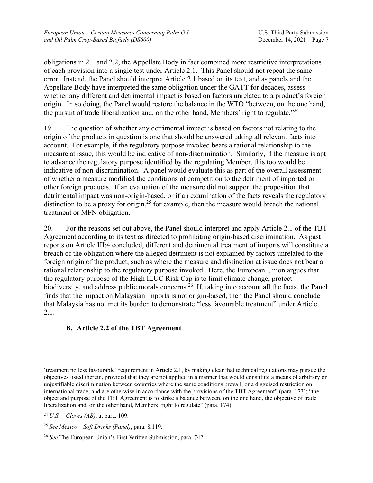obligations in 2.1 and 2.2, the Appellate Body in fact combined more restrictive interpretations of each provision into a single test under Article 2.1. This Panel should not repeat the same error. Instead, the Panel should interpret Article 2.1 based on its text, and as panels and the Appellate Body have interpreted the same obligation under the GATT for decades, assess whether any different and detrimental impact is based on factors unrelated to a product's foreign origin. In so doing, the Panel would restore the balance in the WTO "between, on the one hand, the pursuit of trade liberalization and, on the other hand, Members' right to regulate."<sup>24</sup>

19. The question of whether any detrimental impact is based on factors not relating to the origin of the products in question is one that should be answered taking all relevant facts into account. For example, if the regulatory purpose invoked bears a rational relationship to the measure at issue, this would be indicative of non-discrimination. Similarly, if the measure is apt to advance the regulatory purpose identified by the regulating Member, this too would be indicative of non-discrimination. A panel would evaluate this as part of the overall assessment of whether a measure modified the conditions of competition to the detriment of imported or other foreign products. If an evaluation of the measure did not support the proposition that detrimental impact was non-origin-based, or if an examination of the facts reveals the regulatory distinction to be a proxy for origin,<sup>25</sup> for example, then the measure would breach the national treatment or MFN obligation.

20. For the reasons set out above, the Panel should interpret and apply Article 2.1 of the TBT Agreement according to its text as directed to prohibiting origin-based discrimination. As past reports on Article III:4 concluded, different and detrimental treatment of imports will constitute a breach of the obligation where the alleged detriment is not explained by factors unrelated to the foreign origin of the product, such as where the measure and distinction at issue does not bear a rational relationship to the regulatory purpose invoked. Here, the European Union argues that the regulatory purpose of the High ILUC Risk Cap is to limit climate change, protect biodiversity, and address public morals concerns.<sup>26</sup> If, taking into account all the facts, the Panel finds that the impact on Malaysian imports is not origin-based, then the Panel should conclude that Malaysia has not met its burden to demonstrate "less favourable treatment" under Article 2.1.

### **B. Article 2.2 of the TBT Agreement**

1

<sup>&#</sup>x27;treatment no less favourable' requirement in Article 2.1, by making clear that technical regulations may pursue the objectives listed therein, provided that they are not applied in a manner that would constitute a means of arbitrary or unjustifiable discrimination between countries where the same conditions prevail, or a disguised restriction on international trade, and are otherwise in accordance with the provisions of the TBT Agreement" (para. 173); "the object and purpose of the TBT Agreement is to strike a balance between, on the one hand, the objective of trade liberalization and, on the other hand, Members' right to regulate" (para. 174).

<sup>24</sup> *U.S. – Cloves (AB)*, at para. 109.

<sup>25</sup> *See Mexico – Soft Drinks (Panel)*, para. 8.119.

<sup>26</sup> *See* The European Union's First Written Submission, para. 742.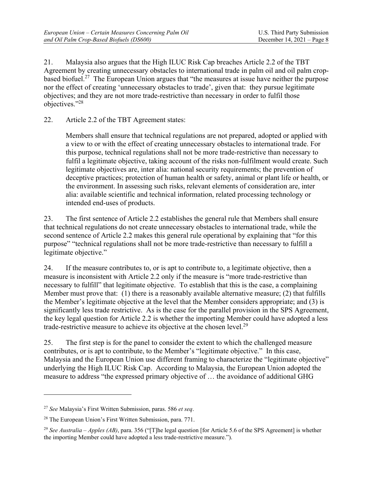21. Malaysia also argues that the High ILUC Risk Cap breaches Article 2.2 of the TBT Agreement by creating unnecessary obstacles to international trade in palm oil and oil palm cropbased biofuel.27 The European Union argues that "the measures at issue have neither the purpose nor the effect of creating 'unnecessary obstacles to trade', given that: they pursue legitimate objectives; and they are not more trade-restrictive than necessary in order to fulfil those objectives."28

22. Article 2.2 of the TBT Agreement states:

Members shall ensure that technical regulations are not prepared, adopted or applied with a view to or with the effect of creating unnecessary obstacles to international trade. For this purpose, technical regulations shall not be more trade-restrictive than necessary to fulfil a legitimate objective, taking account of the risks non-fulfilment would create. Such legitimate objectives are, inter alia: national security requirements; the prevention of deceptive practices; protection of human health or safety, animal or plant life or health, or the environment. In assessing such risks, relevant elements of consideration are, inter alia: available scientific and technical information, related processing technology or intended end-uses of products.

23. The first sentence of Article 2.2 establishes the general rule that Members shall ensure that technical regulations do not create unnecessary obstacles to international trade, while the second sentence of Article 2.2 makes this general rule operational by explaining that "for this purpose" "technical regulations shall not be more trade-restrictive than necessary to fulfill a legitimate objective."

24. If the measure contributes to, or is apt to contribute to, a legitimate objective, then a measure is inconsistent with Article 2.2 only if the measure is "more trade-restrictive than necessary to fulfill" that legitimate objective. To establish that this is the case, a complaining Member must prove that: (1) there is a reasonably available alternative measure; (2) that fulfills the Member's legitimate objective at the level that the Member considers appropriate; and (3) is significantly less trade restrictive. As is the case for the parallel provision in the SPS Agreement, the key legal question for Article 2.2 is whether the importing Member could have adopted a less trade-restrictive measure to achieve its objective at the chosen level.29

25. The first step is for the panel to consider the extent to which the challenged measure contributes, or is apt to contribute, to the Member's "legitimate objective." In this case, Malaysia and the European Union use different framing to characterize the "legitimate objective" underlying the High ILUC Risk Cap. According to Malaysia, the European Union adopted the measure to address "the expressed primary objective of … the avoidance of additional GHG

<sup>27</sup> *See* Malaysia's First Written Submission, paras. 586 *et seq*.

<sup>28</sup> The European Union's First Written Submission, para. 771.

<sup>29</sup> *See Australia – Apples (AB)*, para. 356 ("[T]he legal question [for Article 5.6 of the SPS Agreement] is whether the importing Member could have adopted a less trade-restrictive measure.").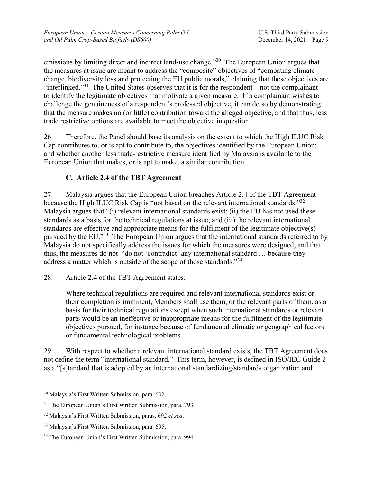emissions by limiting direct and indirect land-use change."<sup>30</sup> The European Union argues that the measures at issue are meant to address the "composite" objectives of "combating climate change, biodiversity loss and protecting the EU public morals," claiming that these objectives are "interlinked."31 The United States observes that it is for the respondent—not the complainant to identify the legitimate objectives that motivate a given measure. If a complainant wishes to challenge the genuineness of a respondent's professed objective, it can do so by demonstrating that the measure makes no (or little) contribution toward the alleged objective, and that thus, less trade restrictive options are available to meet the objective in question.

26. Therefore, the Panel should base its analysis on the extent to which the High ILUC Risk Cap contributes to, or is apt to contribute to, the objectives identified by the European Union; and whether another less trade-restrictive measure identified by Malaysia is available to the European Union that makes, or is apt to make, a similar contribution.

## **C. Article 2.4 of the TBT Agreement**

27. Malaysia argues that the European Union breaches Article 2.4 of the TBT Agreement because the High ILUC Risk Cap is "not based on the relevant international standards."<sup>32</sup> Malaysia argues that "(i) relevant international standards exist; (ii) the EU has not used these standards as a basis for the technical regulations at issue; and (iii) the relevant international standards are effective and appropriate means for the fulfilment of the legitimate objective(s) pursued by the EU."33 The European Union argues that the international standards referred to by Malaysia do not specifically address the issues for which the measures were designed, and that thus, the measures do not "do not 'contradict' any international standard … because they address a matter which is outside of the scope of those standards."<sup>34</sup>

28. Article 2.4 of the TBT Agreement states:

Where technical regulations are required and relevant international standards exist or their completion is imminent, Members shall use them, or the relevant parts of them, as a basis for their technical regulations except when such international standards or relevant parts would be an ineffective or inappropriate means for the fulfilment of the legitimate objectives pursued, for instance because of fundamental climatic or geographical factors or fundamental technological problems.

29. With respect to whether a relevant international standard exists, the TBT Agreement does not define the term "international standard." This term, however, is defined in ISO/IEC Guide 2 as a "[s]tandard that is adopted by an international standardizing/standards organization and

<sup>30</sup> Malaysia's First Written Submission, para. 602.

<sup>&</sup>lt;sup>31</sup> The European Union's First Written Submission, para. 793.

<sup>32</sup> Malaysia's First Written Submission, paras. 692 *et seq*.

<sup>33</sup> Malaysia's First Written Submission, para. 695.

<sup>&</sup>lt;sup>34</sup> The European Union's First Written Submission, para. 994.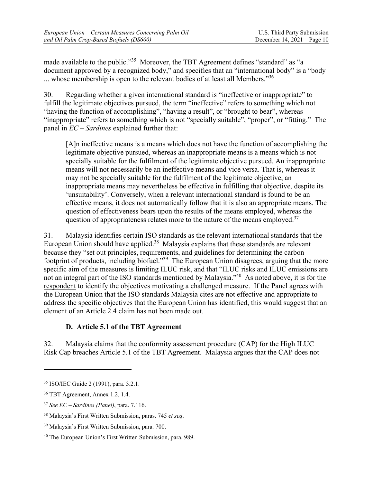made available to the public."<sup>35</sup> Moreover, the TBT Agreement defines "standard" as "a document approved by a recognized body," and specifies that an "international body" is a "body ... whose membership is open to the relevant bodies of at least all Members."<sup>36</sup>

30. Regarding whether a given international standard is "ineffective or inappropriate" to fulfill the legitimate objectives pursued, the term "ineffective" refers to something which not "having the function of accomplishing", "having a result", or "brought to bear", whereas "inappropriate" refers to something which is not "specially suitable", "proper", or "fitting." The panel in *EC – Sardines* explained further that:

[A]n ineffective means is a means which does not have the function of accomplishing the legitimate objective pursued, whereas an inappropriate means is a means which is not specially suitable for the fulfilment of the legitimate objective pursued. An inappropriate means will not necessarily be an ineffective means and vice versa. That is, whereas it may not be specially suitable for the fulfilment of the legitimate objective, an inappropriate means may nevertheless be effective in fulfilling that objective, despite its 'unsuitability'. Conversely, when a relevant international standard is found to be an effective means, it does not automatically follow that it is also an appropriate means. The question of effectiveness bears upon the results of the means employed, whereas the question of appropriateness relates more to the nature of the means employed.<sup>37</sup>

31. Malaysia identifies certain ISO standards as the relevant international standards that the European Union should have applied.<sup>38</sup> Malaysia explains that these standards are relevant because they "set out principles, requirements, and guidelines for determining the carbon footprint of products, including biofuel."<sup>39</sup> The European Union disagrees, arguing that the more specific aim of the measures is limiting ILUC risk, and that "ILUC risks and ILUC emissions are not an integral part of the ISO standards mentioned by Malaysia."40 As noted above, it is for the respondent to identify the objectives motivating a challenged measure. If the Panel agrees with the European Union that the ISO standards Malaysia cites are not effective and appropriate to address the specific objectives that the European Union has identified, this would suggest that an element of an Article 2.4 claim has not been made out.

### **D. Article 5.1 of the TBT Agreement**

32. Malaysia claims that the conformity assessment procedure (CAP) for the High ILUC Risk Cap breaches Article 5.1 of the TBT Agreement. Malaysia argues that the CAP does not

<sup>35</sup> ISO/IEC Guide 2 (1991), para. 3.2.1.

<sup>36</sup> TBT Agreement, Annex 1.2, 1.4.

<sup>37</sup> *See EC – Sardines (Panel)*, para. 7.116.

<sup>38</sup> Malaysia's First Written Submission, paras. 745 *et seq*.

<sup>39</sup> Malaysia's First Written Submission, para. 700.

<sup>40</sup> The European Union's First Written Submission, para. 989.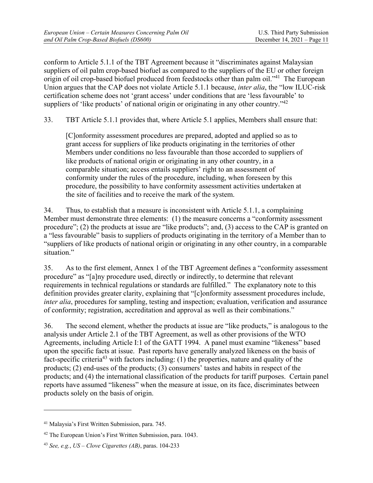conform to Article 5.1.1 of the TBT Agreement because it "discriminates against Malaysian suppliers of oil palm crop-based biofuel as compared to the suppliers of the EU or other foreign origin of oil crop-based biofuel produced from feedstocks other than palm oil."<sup>41</sup> The European Union argues that the CAP does not violate Article 5.1.1 because, *inter alia*, the "low ILUC-risk certification scheme does not 'grant access' under conditions that are 'less favourable' to suppliers of 'like products' of national origin or originating in any other country."<sup>42</sup>

33. TBT Article 5.1.1 provides that, where Article 5.1 applies, Members shall ensure that:

[C]onformity assessment procedures are prepared, adopted and applied so as to grant access for suppliers of like products originating in the territories of other Members under conditions no less favourable than those accorded to suppliers of like products of national origin or originating in any other country, in a comparable situation; access entails suppliers' right to an assessment of conformity under the rules of the procedure, including, when foreseen by this procedure, the possibility to have conformity assessment activities undertaken at the site of facilities and to receive the mark of the system.

34. Thus, to establish that a measure is inconsistent with Article 5.1.1, a complaining Member must demonstrate three elements: (1) the measure concerns a "conformity assessment procedure"; (2) the products at issue are "like products"; and, (3) access to the CAP is granted on a "less favourable" basis to suppliers of products originating in the territory of a Member than to "suppliers of like products of national origin or originating in any other country, in a comparable situation."

35. As to the first element, Annex 1 of the TBT Agreement defines a "conformity assessment procedure" as "[a]ny procedure used, directly or indirectly, to determine that relevant requirements in technical regulations or standards are fulfilled." The explanatory note to this definition provides greater clarity, explaining that "[c]onformity assessment procedures include, *inter alia*, procedures for sampling, testing and inspection; evaluation, verification and assurance of conformity; registration, accreditation and approval as well as their combinations."

36. The second element, whether the products at issue are "like products," is analogous to the analysis under Article 2.1 of the TBT Agreement, as well as other provisions of the WTO Agreements, including Article I:1 of the GATT 1994. A panel must examine "likeness" based upon the specific facts at issue. Past reports have generally analyzed likeness on the basis of fact-specific criteria43 with factors including: (1) the properties, nature and quality of the products; (2) end-uses of the products; (3) consumers' tastes and habits in respect of the products; and (4) the international classification of the products for tariff purposes. Certain panel reports have assumed "likeness" when the measure at issue, on its face, discriminates between products solely on the basis of origin.

<sup>41</sup> Malaysia's First Written Submission, para. 745.

 $42$  The European Union's First Written Submission, para. 1043.

<sup>43</sup> *See, e.g.*, *US – Clove Cigarettes (AB)*, paras. 104-233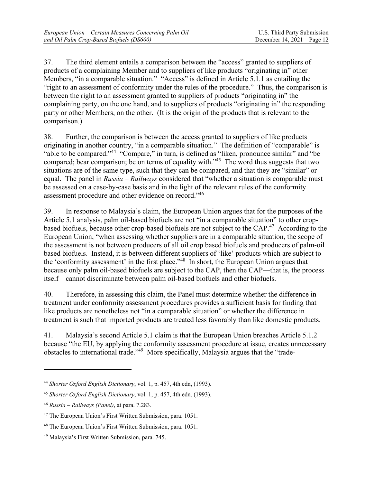37. The third element entails a comparison between the "access" granted to suppliers of products of a complaining Member and to suppliers of like products "originating in" other Members, "in a comparable situation." "Access" is defined in Article 5.1.1 as entailing the "right to an assessment of conformity under the rules of the procedure." Thus, the comparison is between the right to an assessment granted to suppliers of products "originating in" the complaining party, on the one hand, and to suppliers of products "originating in" the responding party or other Members, on the other. (It is the origin of the products that is relevant to the comparison.)

38. Further, the comparison is between the access granted to suppliers of like products originating in another country, "in a comparable situation." The definition of "comparable" is "able to be compared."44 "Compare," in turn, is defined as "liken, pronounce similar" and "be compared; bear comparison; be on terms of equality with."<sup>45</sup> The word thus suggests that two situations are of the same type, such that they can be compared, and that they are "similar" or equal. The panel in *Russia – Railways* considered that "whether a situation is comparable must be assessed on a case-by-case basis and in the light of the relevant rules of the conformity assessment procedure and other evidence on record."46

39. In response to Malaysia's claim, the European Union argues that for the purposes of the Article 5.1 analysis, palm oil-based biofuels are not "in a comparable situation" to other cropbased biofuels, because other crop-based biofuels are not subject to the CAP.47 According to the European Union, "when assessing whether suppliers are in a comparable situation, the scope of the assessment is not between producers of all oil crop based biofuels and producers of palm-oil based biofuels. Instead, it is between different suppliers of 'like' products which are subject to the 'conformity assessment' in the first place."48 In short, the European Union argues that because only palm oil-based biofuels are subject to the CAP, then the CAP—that is, the process itself—cannot discriminate between palm oil-based biofuels and other biofuels.

40. Therefore, in assessing this claim, the Panel must determine whether the difference in treatment under conformity assessment procedures provides a sufficient basis for finding that like products are nonetheless not "in a comparable situation" or whether the difference in treatment is such that imported products are treated less favorably than like domestic products.

41. Malaysia's second Article 5.1 claim is that the European Union breaches Article 5.1.2 because "the EU, by applying the conformity assessment procedure at issue, creates unnecessary obstacles to international trade."49 More specifically, Malaysia argues that the "trade-

<sup>44</sup> *Shorter Oxford English Dictionary*, vol. 1, p. 457, 4th edn, (1993).

<sup>45</sup> *Shorter Oxford English Dictionary*, vol. 1, p. 457, 4th edn, (1993).

<sup>46</sup> *Russia – Railways (Panel)*, at para. 7.283.

<sup>47</sup> The European Union's First Written Submission, para. 1051.

<sup>48</sup> The European Union's First Written Submission, para. 1051.

<sup>49</sup> Malaysia's First Written Submission, para. 745.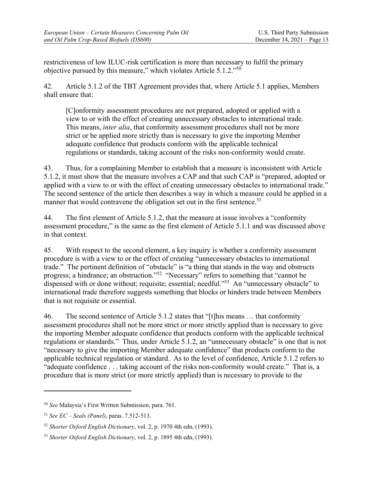restrictiveness of low ILUC-risk certification is more than necessary to fulfil the primary objective pursued by this measure," which violates Article 5.1.2."50

42. Article 5.1.2 of the TBT Agreement provides that, where Article 5.1 applies, Members shall ensure that:

[C]onformity assessment procedures are not prepared, adopted or applied with a view to or with the effect of creating unnecessary obstacles to international trade. This means, *inter alia*, that conformity assessment procedures shall not be more strict or be applied more strictly than is necessary to give the importing Member adequate confidence that products conform with the applicable technical regulations or standards, taking account of the risks non-conformity would create.

43. Thus, for a complaining Member to establish that a measure is inconsistent with Article 5.1.2, it must show that the measure involves a CAP and that such CAP is "prepared, adopted or applied with a view to or with the effect of creating unnecessary obstacles to international trade." The second sentence of the article then describes a way in which a measure could be applied in a manner that would contravene the obligation set out in the first sentence.<sup>51</sup>

44. The first element of Article 5.1.2, that the measure at issue involves a "conformity assessment procedure," is the same as the first element of Article 5.1.1 and was discussed above in that context.

45. With respect to the second element, a key inquiry is whether a conformity assessment procedure is with a view to or the effect of creating "unnecessary obstacles to international trade." The pertinent definition of "obstacle" is "a thing that stands in the way and obstructs progress; a hindrance; an obstruction."<sup>52</sup> "Necessary" refers to something that "cannot be dispensed with or done without; requisite; essential; needful."<sup>53</sup> An "unnecessary obstacle" to international trade therefore suggests something that blocks or hinders trade between Members that is not requisite or essential.

46. The second sentence of Article 5.1.2 states that "[t]his means … that conformity assessment procedures shall not be more strict or more strictly applied than is necessary to give the importing Member adequate confidence that products conform with the applicable technical regulations or standards." Thus, under Article 5.1.2, an "unnecessary obstacle" is one that is not "necessary to give the importing Member adequate confidence" that products conform to the applicable technical regulation or standard. As to the level of confidence, Article 5.1.2 refers to "adequate confidence . . . taking account of the risks non-conformity would create." That is, a procedure that is more strict (or more strictly applied) than is necessary to provide to the

<sup>50</sup> *See* Malaysia's First Written Submission, para. 761.

<sup>51</sup> *See EC – Seals (Panel)*, paras. 7.512-513.

<sup>52</sup> *Shorter Oxford English Dictionary*, vol. 2, p. 1970 4th edn, (1993).

<sup>53</sup> *Shorter Oxford English Dictionary*, vol. 2, p. 1895 4th edn, (1993).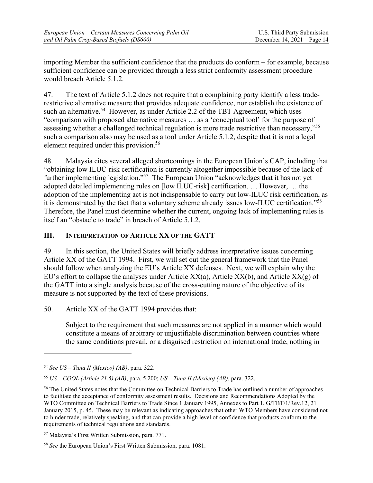importing Member the sufficient confidence that the products do conform – for example, because sufficient confidence can be provided through a less strict conformity assessment procedure – would breach Article 5.1.2.

47. The text of Article 5.1.2 does not require that a complaining party identify a less traderestrictive alternative measure that provides adequate confidence, nor establish the existence of such an alternative.<sup>54</sup> However, as under Article 2.2 of the TBT Agreement, which uses "comparison with proposed alternative measures … as a 'conceptual tool' for the purpose of assessing whether a challenged technical regulation is more trade restrictive than necessary,"<sup>55</sup> such a comparison also may be used as a tool under Article 5.1.2, despite that it is not a legal element required under this provision.<sup>56</sup>

48. Malaysia cites several alleged shortcomings in the European Union's CAP, including that "obtaining low ILUC-risk certification is currently altogether impossible because of the lack of further implementing legislation."<sup>57</sup> The European Union "acknowledges that it has not yet adopted detailed implementing rules on [low ILUC-risk] certification. … However, … the adoption of the implementing act is not indispensable to carry out low-ILUC risk certification, as it is demonstrated by the fact that a voluntary scheme already issues low-ILUC certification."58 Therefore, the Panel must determine whether the current, ongoing lack of implementing rules is itself an "obstacle to trade" in breach of Article 5.1.2.

### **III. INTERPRETATION OF ARTICLE XX OF THE GATT**

49. In this section, the United States will briefly address interpretative issues concerning Article XX of the GATT 1994. First, we will set out the general framework that the Panel should follow when analyzing the EU's Article XX defenses. Next, we will explain why the EU's effort to collapse the analyses under Article  $XX(a)$ , Article  $XX(b)$ , and Article  $XX(g)$  of the GATT into a single analysis because of the cross-cutting nature of the objective of its measure is not supported by the text of these provisions.

50. Article XX of the GATT 1994 provides that:

Subject to the requirement that such measures are not applied in a manner which would constitute a means of arbitrary or unjustifiable discrimination between countries where the same conditions prevail, or a disguised restriction on international trade, nothing in

<sup>54</sup> *See US – Tuna II (Mexico) (AB)*, para. 322.

<sup>55</sup> *US – COOL (Article 21.5) (AB)*, para. 5.200; *US – Tuna II (Mexico) (AB)*, para. 322.

<sup>&</sup>lt;sup>56</sup> The United States notes that the Committee on Technical Barriers to Trade has outlined a number of approaches to facilitate the acceptance of conformity assessment results. Decisions and Recommendations Adopted by the WTO Committee on Technical Barriers to Trade Since 1 January 1995, Annexes to Part 1, G/TBT/1/Rev.12, 21 January 2015, p. 45. These may be relevant as indicating approaches that other WTO Members have considered not to hinder trade, relatively speaking, and that can provide a high level of confidence that products conform to the requirements of technical regulations and standards.

<sup>57</sup> Malaysia's First Written Submission, para. 771.

<sup>58</sup> *See* the European Union's First Written Submission, para. 1081.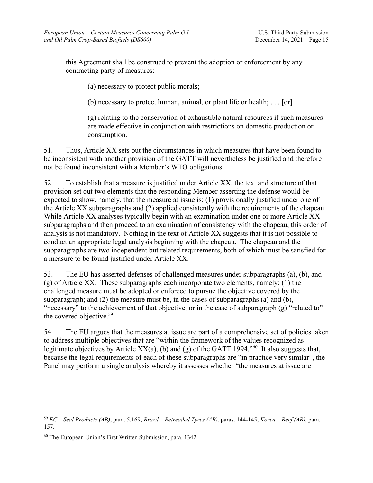this Agreement shall be construed to prevent the adoption or enforcement by any contracting party of measures:

(a) necessary to protect public morals;

(b) necessary to protect human, animal, or plant life or health;  $\dots$  [or]

(g) relating to the conservation of exhaustible natural resources if such measures are made effective in conjunction with restrictions on domestic production or consumption.

51. Thus, Article XX sets out the circumstances in which measures that have been found to be inconsistent with another provision of the GATT will nevertheless be justified and therefore not be found inconsistent with a Member's WTO obligations.

52. To establish that a measure is justified under Article XX, the text and structure of that provision set out two elements that the responding Member asserting the defense would be expected to show, namely, that the measure at issue is: (1) provisionally justified under one of the Article XX subparagraphs and (2) applied consistently with the requirements of the chapeau. While Article XX analyses typically begin with an examination under one or more Article XX subparagraphs and then proceed to an examination of consistency with the chapeau, this order of analysis is not mandatory. Nothing in the text of Article XX suggests that it is not possible to conduct an appropriate legal analysis beginning with the chapeau. The chapeau and the subparagraphs are two independent but related requirements, both of which must be satisfied for a measure to be found justified under Article XX.

53. The EU has asserted defenses of challenged measures under subparagraphs (a), (b), and (g) of Article XX. These subparagraphs each incorporate two elements, namely: (1) the challenged measure must be adopted or enforced to pursue the objective covered by the subparagraph; and (2) the measure must be, in the cases of subparagraphs (a) and (b), "necessary" to the achievement of that objective, or in the case of subparagraph (g) "related to" the covered objective.<sup>59</sup>

54. The EU argues that the measures at issue are part of a comprehensive set of policies taken to address multiple objectives that are "within the framework of the values recognized as legitimate objectives by Article XX(a), (b) and (g) of the GATT 1994."<sup>60</sup> It also suggests that, because the legal requirements of each of these subparagraphs are "in practice very similar", the Panel may perform a single analysis whereby it assesses whether "the measures at issue are

<sup>59</sup> *EC – Seal Products (AB)*, para. 5.169; *Brazil – Retreaded Tyres (AB)*, paras. 144-145; *Korea – Beef (AB)*, para. 157.

<sup>60</sup> The European Union's First Written Submission, para. 1342.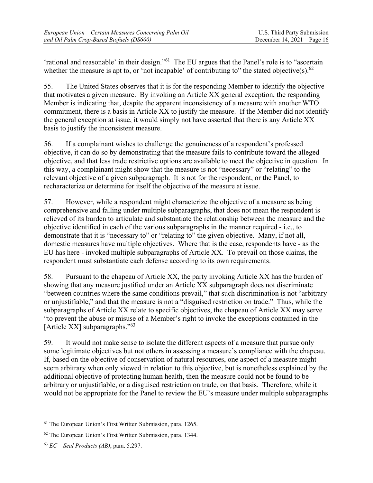'rational and reasonable' in their design."61 The EU argues that the Panel's role is to "ascertain whether the measure is apt to, or 'not incapable' of contributing to" the stated objective(s). $62$ 

55. The United States observes that it is for the responding Member to identify the objective that motivates a given measure. By invoking an Article XX general exception, the responding Member is indicating that, despite the apparent inconsistency of a measure with another WTO commitment, there is a basis in Article XX to justify the measure. If the Member did not identify the general exception at issue, it would simply not have asserted that there is any Article XX basis to justify the inconsistent measure.

56. If a complainant wishes to challenge the genuineness of a respondent's professed objective, it can do so by demonstrating that the measure fails to contribute toward the alleged objective, and that less trade restrictive options are available to meet the objective in question. In this way, a complainant might show that the measure is not "necessary" or "relating" to the relevant objective of a given subparagraph. It is not for the respondent, or the Panel, to recharacterize or determine for itself the objective of the measure at issue.

57. However, while a respondent might characterize the objective of a measure as being comprehensive and falling under multiple subparagraphs, that does not mean the respondent is relieved of its burden to articulate and substantiate the relationship between the measure and the objective identified in each of the various subparagraphs in the manner required - i.e., to demonstrate that it is "necessary to" or "relating to" the given objective. Many, if not all, domestic measures have multiple objectives. Where that is the case, respondents have - as the EU has here - invoked multiple subparagraphs of Article XX. To prevail on those claims, the respondent must substantiate each defense according to its own requirements.

58. Pursuant to the chapeau of Article XX, the party invoking Article XX has the burden of showing that any measure justified under an Article XX subparagraph does not discriminate "between countries where the same conditions prevail," that such discrimination is not "arbitrary or unjustifiable," and that the measure is not a "disguised restriction on trade." Thus, while the subparagraphs of Article XX relate to specific objectives, the chapeau of Article XX may serve "to prevent the abuse or misuse of a Member's right to invoke the exceptions contained in the [Article XX] subparagraphs."<sup>63</sup>

59. It would not make sense to isolate the different aspects of a measure that pursue only some legitimate objectives but not others in assessing a measure's compliance with the chapeau. If, based on the objective of conservation of natural resources, one aspect of a measure might seem arbitrary when only viewed in relation to this objective, but is nonetheless explained by the additional objective of protecting human health, then the measure could not be found to be arbitrary or unjustifiable, or a disguised restriction on trade, on that basis. Therefore, while it would not be appropriate for the Panel to review the EU's measure under multiple subparagraphs

<sup>61</sup> The European Union's First Written Submission, para. 1265.

<sup>62</sup> The European Union's First Written Submission, para. 1344.

<sup>63</sup> *EC – Seal Products (AB)*, para. 5.297.